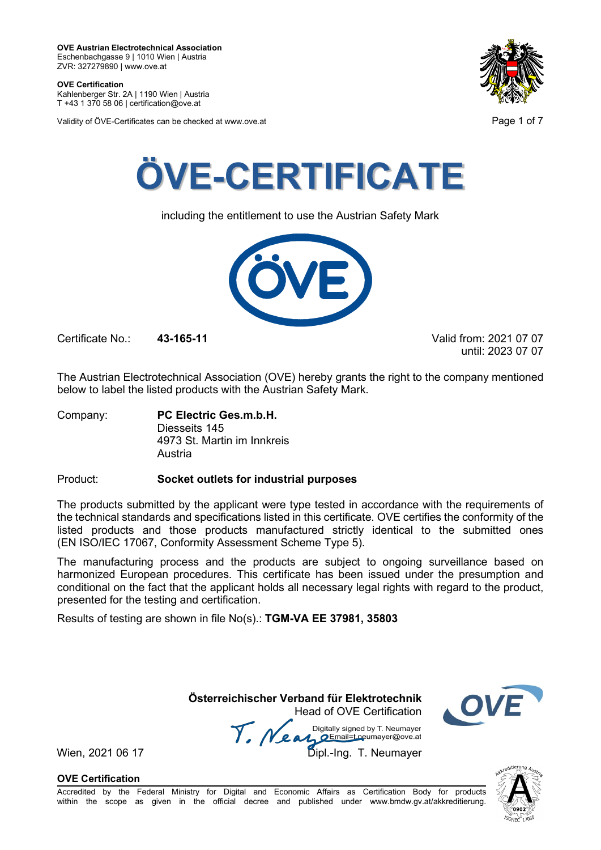**OVE Certification** Kahlenberger Str. 2A | 1190 Wien | Austria

T +43 1 370 58 06 | certification@ove.at

Validity of ÖVE-Certificates can be checked at www.ove.at **Page 1 of 7** and 2008 at  $\overline{P}$ 





including the entitlement to use the Austrian Safety Mark



Certificate No.: **43-165-11** Valid from: 2021 07 07

until: 2023 07 07

The Austrian Electrotechnical Association (OVE) hereby grants the right to the company mentioned below to label the listed products with the Austrian Safety Mark.

Company: **PC Electric Ges.m.b.H.** Diesseits 145 4973 St. Martin im Innkreis Austria

Product: **Socket outlets for industrial purposes**

The products submitted by the applicant were type tested in accordance with the requirements of the technical standards and specifications listed in this certificate. OVE certifies the conformity of the listed products and those products manufactured strictly identical to the submitted ones (EN ISO/IEC 17067, Conformity Assessment Scheme Type 5).

The manufacturing process and the products are subject to ongoing surveillance based on harmonized European procedures. This certificate has been issued under the presumption and conditional on the fact that the applicant holds all necessary legal rights with regard to the product, presented for the testing and certification.

Results of testing are shown in file No(s).: **TGM-VA EE 37981, 35803**

**Österreichischer Verband für Elektrotechnik** Head of OVE Certification

Wien, 2021 06 17 Me and Digitally signed by Livedingy.<br>Wien, 2021 06 17 Dipl.-Ing. T. Neumayer



**OVE Certification**

Accredited by the Federal Ministry for Digital and Economic Affairs as Certification Body for products within the scope as given in the official decree and published under www.bmdw.gv.at/akkreditierung.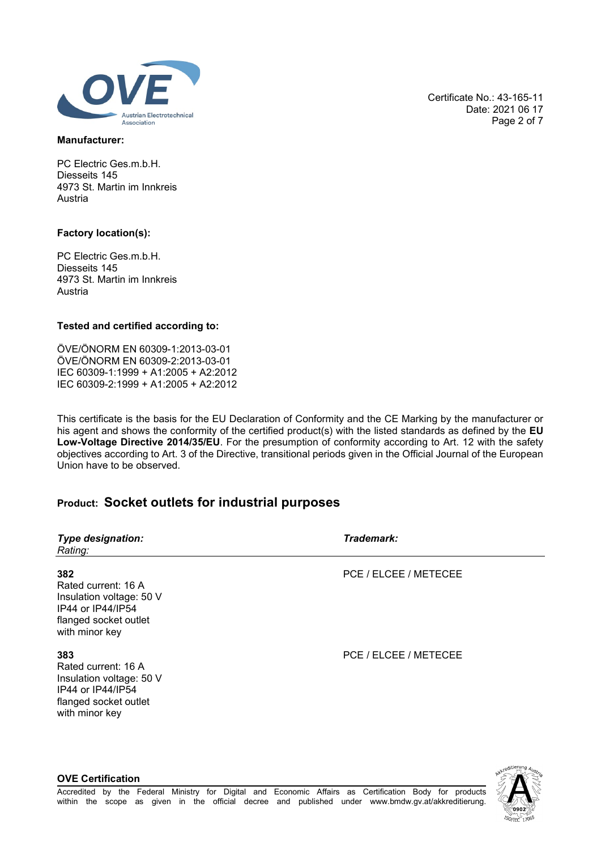

### **Manufacturer:**

PC Electric Ges.m.b.H. Diesseits 145 4973 St. Martin im Innkreis Austria

### **Factory location(s):**

PC Electric Ges.m.b.H. Diesseits 145 4973 St. Martin im Innkreis Austria

### **Tested and certified according to:**

ÖVE/ÖNORM EN 60309-1:2013-03-01 ÖVE/ÖNORM EN 60309-2:2013-03-01 IEC 60309-1:1999 + A1:2005 + A2:2012 IEC 60309-2:1999 + A1:2005 + A2:2012

This certificate is the basis for the EU Declaration of Conformity and the CE Marking by the manufacturer or his agent and shows the conformity of the certified product(s) with the listed standards as defined by the **EU Low-Voltage Directive 2014/35/EU**. For the presumption of conformity according to Art. 12 with the safety objectives according to Art. 3 of the Directive, transitional periods given in the Official Journal of the European Union have to be observed.

# **Product: Socket outlets for industrial purposes**

| <b>Type designation:</b><br>Rating:                                                                                    | Trademark:            |
|------------------------------------------------------------------------------------------------------------------------|-----------------------|
| 382<br>Rated current: 16 A<br>Insulation voltage: 50 V<br>IP44 or IP44/IP54<br>flanged socket outlet<br>with minor key | PCE / ELCEE / METECEE |
| 383<br>Rated current: 16 A<br>Insulation voltage: 50 V<br>IP44 or IP44/IP54<br>flanged socket outlet<br>with minor key | PCE / ELCEE / METECEE |

Certificate No.: 43-165-11 Date: 2021 06 17 Page 2 of 7



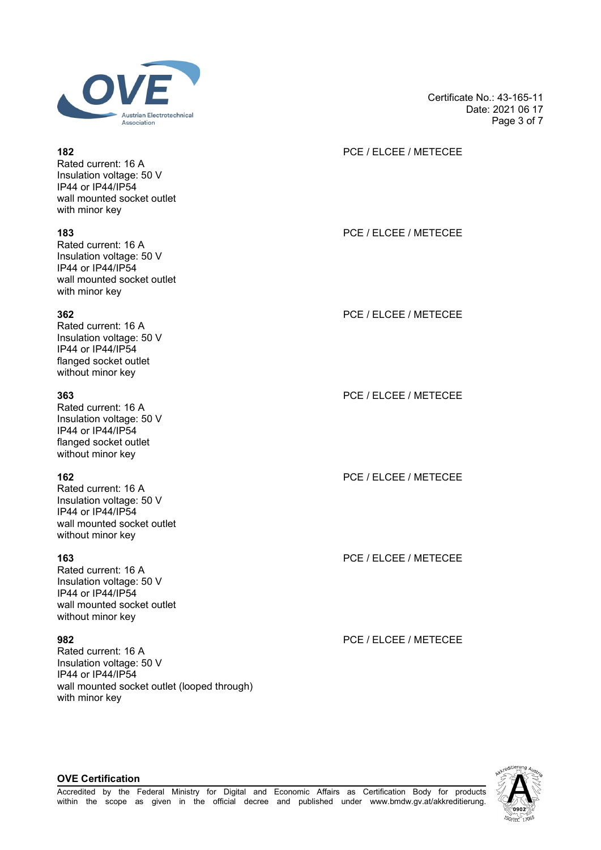

Rated current: 16 A Insulation voltage: 50 V IP44 or IP44/IP54 wall mounted socket outlet with minor key

Rated current: 16 A Insulation voltage: 50 V IP44 or IP44/IP54 wall mounted socket outlet with minor key

Rated current: 16 A Insulation voltage: 50 V IP44 or IP44/IP54 flanged socket outlet without minor key

Rated current: 16 A Insulation voltage: 50 V IP44 or IP44/IP54 flanged socket outlet without minor key

Rated current: 16 A Insulation voltage: 50 V IP44 or IP44/IP54 wall mounted socket outlet without minor key

Rated current: 16 A Insulation voltage: 50 V IP44 or IP44/IP54 wall mounted socket outlet without minor key

Rated current: 16 A Insulation voltage: 50 V IP44 or IP44/IP54 wall mounted socket outlet (looped through) with minor key

Certificate No.: 43-165-11 Date: 2021 06 17 Page 3 of 7

# **182** PCE / ELCEE / METECEE

**183** PCE / ELCEE / METECEE

**362** PCE / ELCEE / METECEE

**363** PCE / ELCEE / METECEE

**162** PCE / ELCEE / METECEE

**163** PCE / ELCEE / METECEE

**982** PCE / ELCEE / METECEE

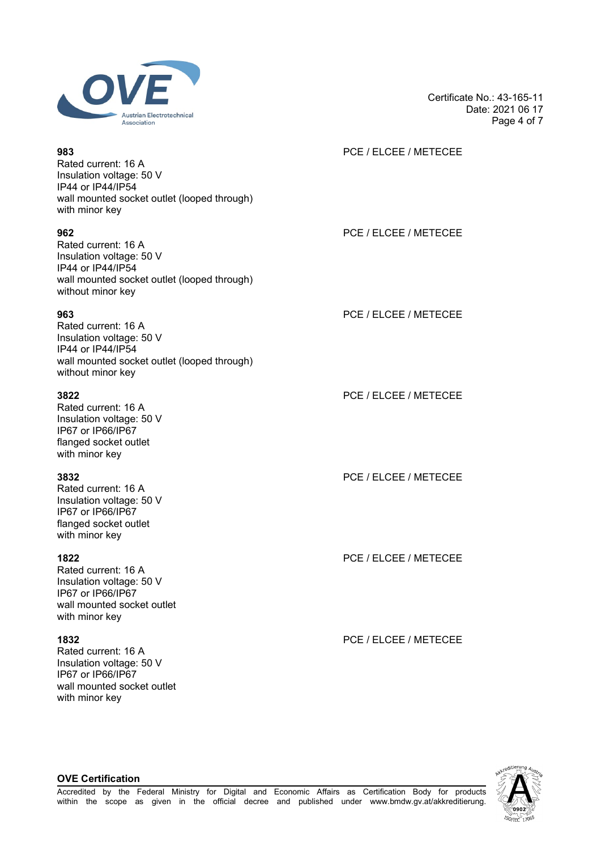

Rated current: 16 A Insulation voltage: 50 V IP44 or IP44/IP54 wall mounted socket outlet (looped through) with minor key

Rated current: 16 A Insulation voltage: 50 V IP44 or IP44/IP54 wall mounted socket outlet (looped through) without minor key

Rated current: 16 A Insulation voltage: 50 V IP44 or IP44/IP54 wall mounted socket outlet (looped through) without minor key

Rated current: 16 A Insulation voltage: 50 V IP67 or IP66/IP67 flanged socket outlet with minor key

Rated current: 16 A Insulation voltage: 50 V IP67 or IP66/IP67 flanged socket outlet with minor key

Rated current: 16 A Insulation voltage: 50 V IP67 or IP66/IP67 wall mounted socket outlet with minor key

Rated current: 16 A Insulation voltage: 50 V IP67 or IP66/IP67 wall mounted socket outlet with minor key

Date: 2021 06 17 Page 4 of 7

Certificate No.: 43-165-11

### **983** PCE / ELCEE / METECEE

**962** PCE / ELCEE / METECEE

**963** PCE / ELCEE / METECEE

**3822** PCE / ELCEE / METECEE

**3832** PCE / ELCEE / METECEE

**1822** PCE / ELCEE / METECEE

**1832** PCE / ELCEE / METECEE

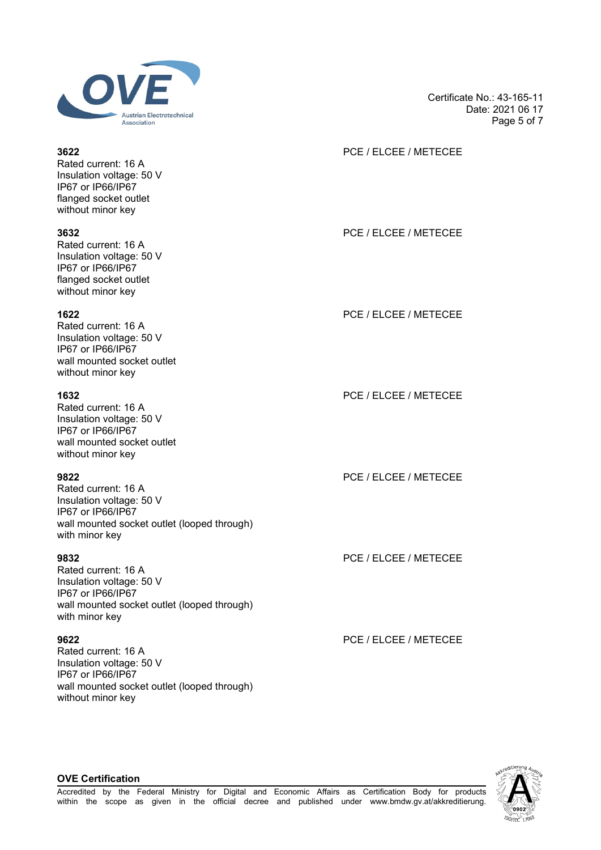

Rated current: 16 A Insulation voltage: 50 V IP67 or IP66/IP67 flanged socket outlet without minor key

Rated current: 16 A Insulation voltage: 50 V IP67 or IP66/IP67 flanged socket outlet without minor key

Rated current: 16 A Insulation voltage: 50 V IP67 or IP66/IP67 wall mounted socket outlet without minor key

Rated current: 16 A Insulation voltage: 50 V IP67 or IP66/IP67 wall mounted socket outlet without minor key

Rated current: 16 A Insulation voltage: 50 V IP67 or IP66/IP67 wall mounted socket outlet (looped through) with minor key

Rated current: 16 A Insulation voltage: 50 V IP67 or IP66/IP67 wall mounted socket outlet (looped through) with minor key

Rated current: 16 A Insulation voltage: 50 V IP67 or IP66/IP67 wall mounted socket outlet (looped through) without minor key

Certificate No.: 43-165-11 Date: 2021 06 17 Page 5 of 7

# **3622** PCE / ELCEE / METECEE

**3632** PCE / ELCEE / METECEE

**1622** PCE / ELCEE / METECEE

**1632** PCE / ELCEE / METECEE

**9822** PCE / ELCEE / METECEE

**9832** PCE / ELCEE / METECEE

**9622** PCE / ELCEE / METECEE

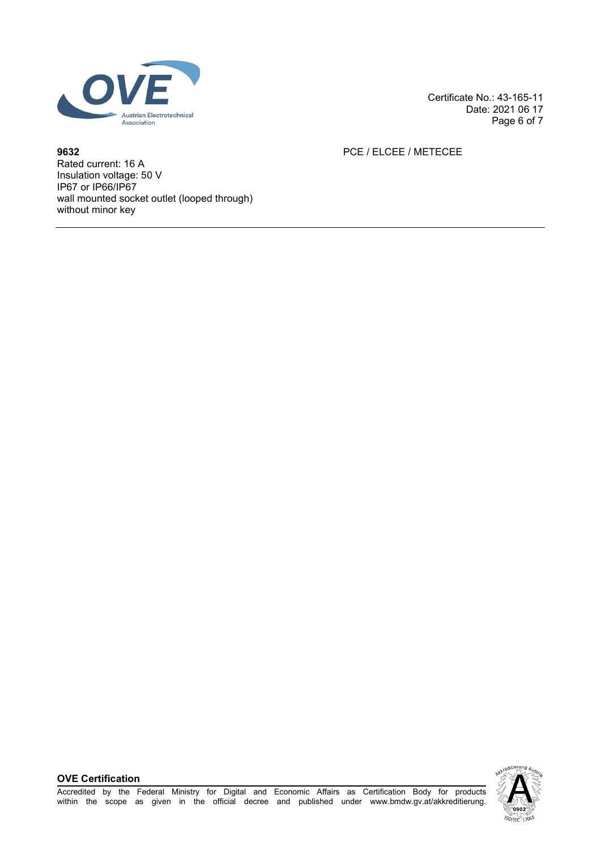

Certificate No.: 43-165-11 Date: 2021 06 17 Page 6 of 7

**9632** PCE / ELCEE / METECEE

Rated current: 16 A Insulation voltage: 50 V IP67 or IP66/IP67 wall mounted socket outlet (looped through) without minor key

**OVE Certification**